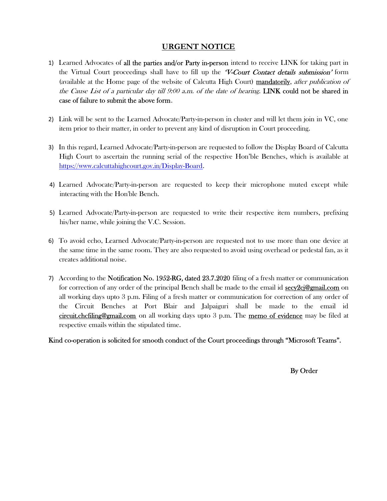# URGENT NOTICE

- 1) Learned Advocates of all the parties and/or Party in-person intend to receive LINK for taking part in the Virtual Court proceedings shall have to fill up the  $V$ -Court Contact details submission' form (available at the Home page of the website of Calcutta High Court) mandatorily, after publication of the Cause List of a particular day till  $9:00$  a.m. of the date of hearing. LINK could not be shared in case of failure to submit the above form.
- 2) Link will be sent to the Learned Advocate/Party-in-person in cluster and will let them join in VC, one item prior to their matter, in order to prevent any kind of disruption in Court proceeding.
- 3) In this regard, Learned Advocate/Party-in-person are requested to follow the Display Board of Calcutta High Court to ascertain the running serial of the respective Hon'ble Benches, which is available at https://www.calcuttahighcourt.gov.in/Display-Board.
- 4) Learned Advocate/Party-in-person are requested to keep their microphone muted except while interacting with the Hon'ble Bench.
- 5) Learned Advocate/Party-in-person are requested to write their respective item numbers, prefixing his/her name, while joining the V.C. Session.
- 6) To avoid echo, Learned Advocate/Party-in-person are requested not to use more than one device at the same time in the same room. They are also requested to avoid using overhead or pedestal fan, as it creates additional noise.
- 7) According to the Notification No. 1952-RG, dated 23.7.2020 filing of a fresh matter or communication for correction of any order of the principal Bench shall be made to the email id **secy2cj@gmail.com** on all working days upto 3 p.m. Filing of a fresh matter or communication for correction of any order of the Circuit Benches at Port Blair and Jalpaiguri shall be made to the email id circuit.chcfiling@gmail.com on all working days upto 3 p.m. The memo of evidence may be filed at respective emails within the stipulated time.

Kind co-operation is solicited for smooth conduct of the Court proceedings through "Microsoft Teams".

By Order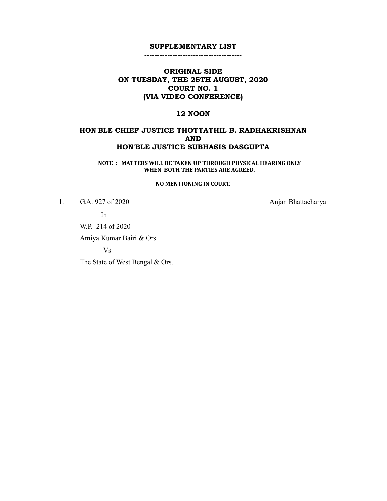--------------------------------------

# ORIGINAL SIDE ON TUESDAY, THE 25TH AUGUST, 2020 COURT NO. 1 (VIA VIDEO CONFERENCE)

### 12 NOON

## HON'BLE CHIEF JUSTICE THOTTATHIL B. RADHAKRISHNAN AND HON'BLE JUSTICE SUBHASIS DASGUPTA

NOTE : MATTERS WILL BE TAKEN UP THROUGH PHYSICAL HEARING ONLY WHEN BOTH THE PARTIES ARE AGREED.

#### NO MENTIONING IN COURT.

1. G.A. 927 of 2020 Anjan Bhattacharya

In

W.P. 214 of 2020

Amiya Kumar Bairi & Ors.

-Vs-

The State of West Bengal & Ors.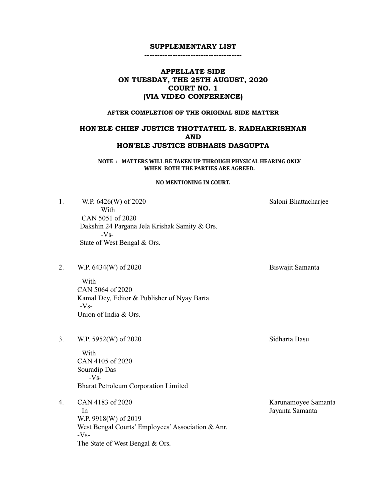--------------------------------------

# APPELLATE SIDE ON TUESDAY, THE 25TH AUGUST, 2020 COURT NO. 1 (VIA VIDEO CONFERENCE)

### AFTER COMPLETION OF THE ORIGINAL SIDE MATTER

# HON'BLE CHIEF JUSTICE THOTTATHIL B. RADHAKRISHNAN AND HON'BLE JUSTICE SUBHASIS DASGUPTA

NOTE : MATTERS WILL BE TAKEN UP THROUGH PHYSICAL HEARING ONLY WHEN BOTH THE PARTIES ARE AGREED.

#### NO MENTIONING IN COURT.

1. W.P. 6426(W) of 2020 Saloni Bhattacharjee With CAN 5051 of 2020 Dakshin 24 Pargana Jela Krishak Samity & Ors.  $-Vs-$ State of West Bengal & Ors.

2. W.P. 6434(W) of 2020 Biswajit Samanta

With CAN 5064 of 2020 Kamal Dey, Editor & Publisher of Nyay Barta -Vs- Union of India & Ors.

3. W.P. 5952(W) of 2020 Sidharta Basu

With CAN 4105 of 2020 Souradip Das -Vs- Bharat Petroleum Corporation Limited

4. CAN 4183 of 2020 Karunamoyee Samanta In Jayanta Samanta W.P. 9918(W) of 2019 West Bengal Courts' Employees' Association & Anr.  $-Vs-$ The State of West Bengal & Ors.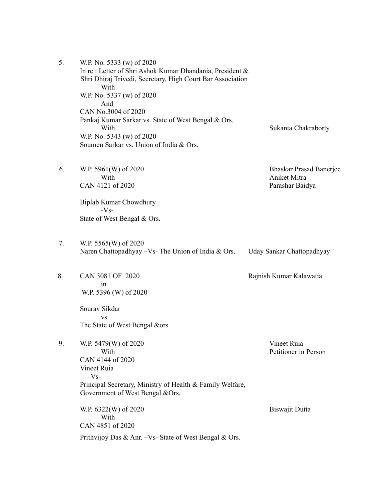| 5. | W.P. No. 5333 (w) of 2020<br>In re: Letter of Shri Ashok Kumar Dhandania, President &<br>Shri Dhiraj Trivedi, Secretary, High Court Bar Association<br>With<br>W.P. No. 5337 (w) of 2020 |                                                                   |
|----|------------------------------------------------------------------------------------------------------------------------------------------------------------------------------------------|-------------------------------------------------------------------|
|    | And<br>CAN No.3004 of 2020<br>Pankaj Kumar Sarkar vs. State of West Bengal & Ors.<br>With<br>W.P. No. 5343 (w) of 2020<br>Soumen Sarkar vs. Union of India & Ors.                        | Sukanta Chakraborty                                               |
| 6. | W.P. 5961(W) of 2020<br>With<br>CAN 4121 of 2020                                                                                                                                         | <b>Bhaskar Prasad Banerjee</b><br>Aniket Mitra<br>Parashar Baidya |
|    | Biplab Kumar Chowdhury<br>$-Vs-$<br>State of West Bengal & Ors.                                                                                                                          |                                                                   |
| 7. | W.P. 5565(W) of 2020<br>Naren Chattopadhyay - Vs- The Union of India & Ors.                                                                                                              | Uday Sankar Chattopadhyay                                         |
| 8. | CAN 3081 OF 2020<br>in<br>W.P. 5396 (W) of 2020                                                                                                                                          | Rajnish Kumar Kalawatia                                           |
|    | Sourav Sikdar<br>VS.<br>The State of West Bengal &ors.                                                                                                                                   |                                                                   |
| 9. | W.P. 5479(W) of 2020<br>With<br>CAN 4144 of 2020<br>Vineet Ruia<br>$-Vs-$                                                                                                                | Vineet Ruia<br>Petitioner in Person                               |
|    | Principal Secretary, Ministry of Health & Family Welfare,<br>Government of West Bengal & Ors.                                                                                            |                                                                   |
|    | W.P. 6322(W) of 2020<br>With<br>CAN 4851 of 2020                                                                                                                                         | Biswajit Dutta                                                    |
|    | Prithvijoy Das & Anr. -Vs- State of West Bengal & Ors.                                                                                                                                   |                                                                   |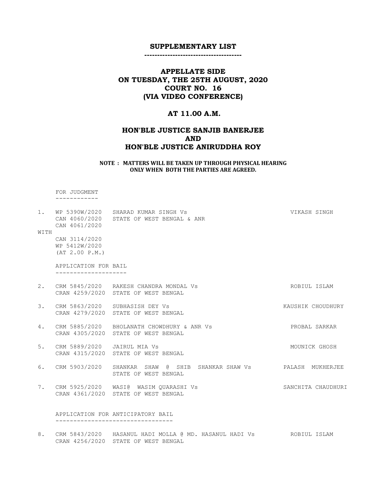--------------------------------------

# APPELLATE SIDE ON TUESDAY, THE 25TH AUGUST, 2020 COURT NO. 16 (VIA VIDEO CONFERENCE)

# AT 11.00 A.M.

# HON'BLE JUSTICE SANJIB BANERJEE AND HON'BLE JUSTICE ANIRUDDHA ROY

#### NOTE : MATTERS WILL BE TAKEN UP THROUGH PHYSICAL HEARING ONLY WHEN BOTH THE PARTIES ARE AGREED.

 FOR JUDGMENT ------------

CRAN 4256/2020 STATE OF WEST BENGAL

| WITH | 1. WP 5390W/2020 SHARAD KUMAR SINGH Vs<br>CAN 4060/2020 STATE OF WEST BENGAL & ANR<br>CAN 4061/2020 | VIKASH SINGH                                                                         |                    |
|------|-----------------------------------------------------------------------------------------------------|--------------------------------------------------------------------------------------|--------------------|
|      | CAN 3114/2020<br>WP 5412W/2020<br>(AT 2.00 P.M.)                                                    |                                                                                      |                    |
|      | APPLICATION FOR BAIL                                                                                |                                                                                      |                    |
|      |                                                                                                     | 2. CRM 5845/2020 RAKESH CHANDRA MONDAL Vs<br>CRAN 4259/2020 STATE OF WEST BENGAL     | ROBIUL ISLAM       |
|      |                                                                                                     | 3. CRM 5863/2020 SUBHASISH DEY Vs<br>CRAN 4279/2020 STATE OF WEST BENGAL             | KAUSHIK CHOUDHURY  |
|      |                                                                                                     | 4. CRM 5885/2020 BHOLANATH CHOWDHURY & ANR Vs<br>CRAN 4305/2020 STATE OF WEST BENGAL | PROBAL SARKAR      |
| 5.   | CRM 5889/2020 JAIRUL MIA Vs                                                                         | CRAN 4315/2020 STATE OF WEST BENGAL                                                  | MOUNICK GHOSH      |
| 6.   |                                                                                                     | STATE OF WEST BENGAL                                                                 |                    |
|      |                                                                                                     | 7. CRM 5925/2020 WASI@ WASIM QUARASHI Vs<br>CRAN 4361/2020 STATE OF WEST BENGAL      | SANCHITA CHAUDHURI |
|      |                                                                                                     | APPLICATION FOR ANTICIPATORY BAIL                                                    |                    |
|      |                                                                                                     | 8. CRM 5843/2020 HASANUL HADI MOLLA @ MD. HASANUL HADI Vs ROBIUL ISLAM               |                    |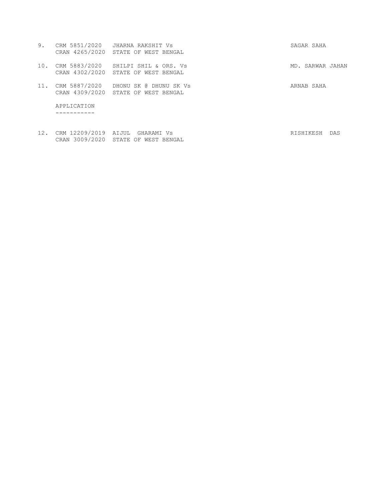| 9.  |                      | CRM 5851/2020 JHARNA RAKSHIT Vs<br>CRAN 4265/2020 STATE OF WEST BENGAL     | SAGAR SAHA       |     |
|-----|----------------------|----------------------------------------------------------------------------|------------------|-----|
| 10. |                      | CRM 5883/2020 SHILPI SHIL & ORS. Vs<br>CRAN 4302/2020 STATE OF WEST BENGAL | MD. SARWAR JAHAN |     |
| 11. | CRM 5887/2020        | DHONU SK @ DHUNU SK Vs<br>CRAN 4309/2020 STATE OF WEST BENGAL              | ARNAB SAHA       |     |
|     | APPLICATION          |                                                                            |                  |     |
| 12. | CRM 12209/2019 AIJUL | GHARAMI Vs                                                                 | RISHIKESH        | DAS |

CRAN 3009/2020 STATE OF WEST BENGAL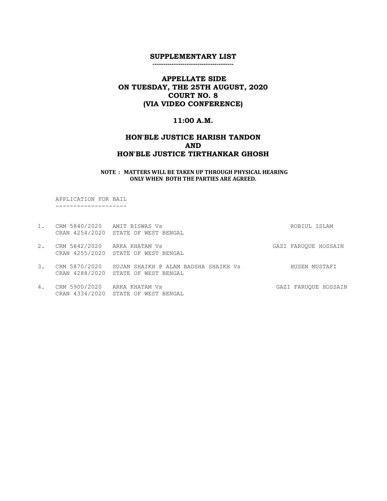--------------------------------------

# APPELLATE SIDE ON TUESDAY, THE 25TH AUGUST, 2020 COURT NO. 8 (VIA VIDEO CONFERENCE)

### 11:00 A.M.

# HON'BLE JUSTICE HARISH TANDON AND HON'BLE JUSTICE TIRTHANKAR GHOSH

#### NOTE : MATTERS WILL BE TAKEN UP THROUGH PHYSICAL HEARING ONLY WHEN BOTH THE PARTIES ARE AGREED.

 APPLICATION FOR BAIL --------------------

CRAN 4334/2020 STATE OF WEST BENGAL

| 1. | CRM 5840/2020 AMIT BISWAS Vs |                                                    | ROBIUL ISLAM         |
|----|------------------------------|----------------------------------------------------|----------------------|
|    |                              | CRAN 4254/2020 STATE OF WEST BENGAL                |                      |
| 2. | CRM 5842/2020 ARKA KHATAM Vs |                                                    | GAZI FARUOUE HOSSAIN |
|    |                              | CRAN 4255/2020 STATE OF WEST BENGAL                |                      |
| 3. |                              | CRM 5870/2020 SUJAN SHAIKH @ ALAM BADSHA SHAIKH Vs | HUSEN MUSTAFI        |
|    |                              | CRAN 4288/2020 STATE OF WEST BENGAL                |                      |
| 4. | CRM 5900/2020 ARKA KHATAM Vs |                                                    | GAZI FARUOUE HOSSAIN |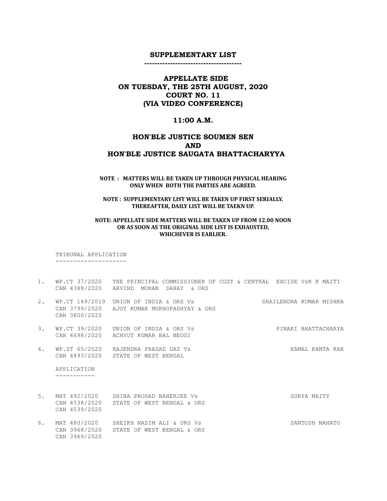--------------------------------------

# APPELLATE SIDE ON TUESDAY, THE 25TH AUGUST, 2020 COURT NO. 11 (VIA VIDEO CONFERENCE)

#### 11:00 A.M.

# HON'BLE JUSTICE SOUMEN SEN AND HON'BLE JUSTICE SAUGATA BHATTACHARYYA

#### NOTE : MATTERS WILL BE TAKEN UP THROUGH PHYSICAL HEARING ONLY WHEN BOTH THE PARTIES ARE AGREED.

### NOTE : SUPPLEMENTARY LIST WILL BE TAKEN UP FIRST SERIALLY. THEREAFTER, DAILY LIST WILL BE TAEKN UP.

### NOTE: APPELLATE SIDE MATTERS WILL BE TAKEN UP FROM 12.00 NOON OR AS SOON AS THE ORIGINAL SIDE LIST IS EXHAUSTED, WHICHEVER IS EARLIER.

 TRIBUNAL APPLICATION --------------------

- 1. WP.CT 37/2020 THE PRINCIPAL COMMISSIONER OF CGST & CENTRAL EXCISE VsK K MAITI CAN 4388/2020 ARVIND MOHAN SAHAY & ORS
- 2. WP.CT 149/2019 UNION OF INDIA & ORS Vs SHAILENDRA KUMAR MISHRA CAN 3799/2020 AJOY KUMAR MUKHOPADHYAY & ORS CAN 3800/2020
- 3. WP.CT 39/2020 UNION OF INDIA & ORS Vs PINAKI BHATTACHARYA CAN 4698/2020 ACHYUT KUMAR BAL NEOGI
- 4. WP.ST 65/2020 RAJENDRA PRASAD DAS Vs **KAMAL KANTA KAR** CAN 4893/2020 STATE OF WEST BENGAL

 APPLICATION -----------

CAN 3969/2020

5. MAT 492/2020 SHIBA PROSAD BANERJEE Vs SURYA SURYA MAITY CAN 4538/2020 STATE OF WEST BENGAL & ORS CAN 4539/2020 6. MAT 480/2020 SHEIKH NASIM ALI & ORS Vs SANTOSH MAHATO

CAN 3968/2020 STATE OF WEST BENGAL & ORS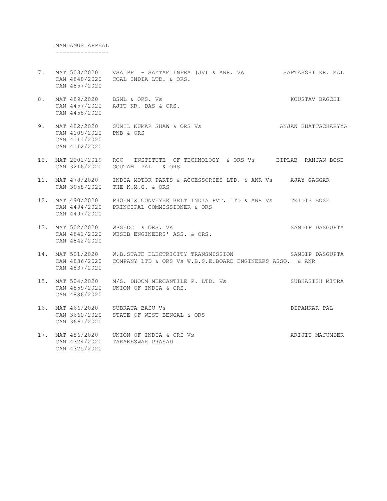MANDAMUS APPEAL ---------------

- 7. MAT 503/2020 VSAIPPL SAYTAM INFRA (JV) & ANR. Vs SAPTARSHI KR. MAL CAN 4848/2020 COAL INDIA LTD. & ORS. CAN 4857/2020
- 8. MAT 489/2020 BSNL & ORS. Vs KOUSTAV BAGCHI CAN 4457/2020 AJIT KR. DAS & ORS. CAN 4458/2020
- 9. MAT 482/2020 SUNIL KUMAR SHAW & ORS Vs ANJAN BHATTACHARYYA CAN 4109/2020 PNB & ORS CAN 4111/2020 CAN 4112/2020
- 10. MAT 2002/2019 RCC INSTITUTE OF TECHNOLOGY & ORS Vs BIPLAB RANJAN BOSE CAN 3216/2020 GOUTAM PAL & ORS
- 11. MAT 478/2020 INDIA MOTOR PARTS & ACCESSORIES LTD. & ANR Vs AJAY GAGGAR CAN 3958/2020 THE K.M.C. & ORS
- 12. MAT 490/2020 PHOENIX CONVEYER BELT INDIA PVT. LTD & ANR Vs TRIDIB BOSE CAN 4494/2020 PRINCIPAL COMMISSIONER & ORS CAN 4497/2020
- 13. MAT 502/2020 WBSEDCL & ORS. Vs SANDIP DASGUPTA CAN 4841/2020 WBSEB ENGINEERS' ASS. & ORS. CAN 4842/2020
- 14. MAT 501/2020 W.B.STATE ELECTRICITY TRANSMISSION SANDIP DASGUPTA CAN 4836/2020 COMPANY LTD & ORS Vs W.B.S.E.BOARD ENGINEERS ASSO. & ANR CAN 4837/2020
- 15. MAT 504/2020 M/S. DHOOM MERCANTILE P. LTD. Vs SUBHASISH MITRA CAN 4859/2020 UNION OF INDIA & ORS. CAN 4886/2020
- 16. MAT 466/2020 SUBRATA BASU Vs **DIPANKAR PAL**  CAN 3660/2020 STATE OF WEST BENGAL & ORS CAN 3661/2020
- 17. MAT 486/2020 UNION OF INDIA & ORS Vs ARIJIT MAJUMDER CAN 4324/2020 TARAKESWAR PRASAD CAN 4325/2020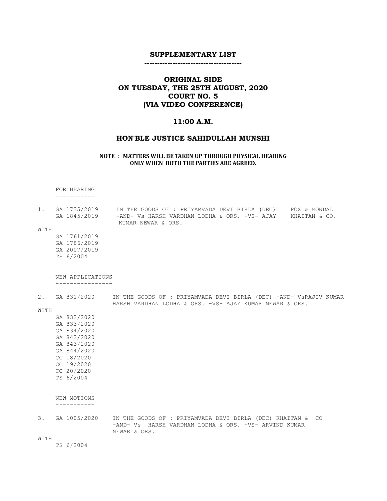--------------------------------------

# ORIGINAL SIDE ON TUESDAY, THE 25TH AUGUST, 2020 COURT NO. 5 (VIA VIDEO CONFERENCE)

### 11:00 A.M.

#### HON'BLE JUSTICE SAHIDULLAH MUNSHI

#### NOTE : MATTERS WILL BE TAKEN UP THROUGH PHYSICAL HEARING ONLY WHEN BOTH THE PARTIES ARE AGREED.

 FOR HEARING -----------

| 1. GA 1735/2019 | IN THE GOODS OF : PRIYAMVADA DEVI BIRLA (DEC) | FOX & MONDAL  |
|-----------------|-----------------------------------------------|---------------|
| GA 1845/2019    | -AND- Vs HARSH VARDHAN LODHA & ORS. -VS- AJAY | KHAITAN & CO. |
|                 | KUMAR NEWAR & ORS.                            |               |

HARSH VARDHAN LODHA & ORS. -VS- AJAY KUMAR NEWAR & ORS.

WITH

 GA 1761/2019 GA 1786/2019 GA 2007/2019 TS 6/2004

#### NEW APPLICATIONS ----------------

2. GA 831/2020 IN THE GOODS OF : PRIYAMVADA DEVI BIRLA (DEC) -AND- VSRAJIV KUMAR

WITH

 GA 832/2020 GA 833/2020 GA 834/2020 GA 842/2020 GA 843/2020 GA 844/2020 CC 18/2020 CC 19/2020 CC 20/2020 TS 6/2004

 NEW MOTIONS -----------

3. GA 1005/2020 IN THE GOODS OF : PRIYAMVADA DEVI BIRLA (DEC) KHAITAN & CO -AND- Vs HARSH VARDHAN LODHA & ORS. -VS- ARVIND KUMAR NEWAR & ORS.

WITH

TS 6/2004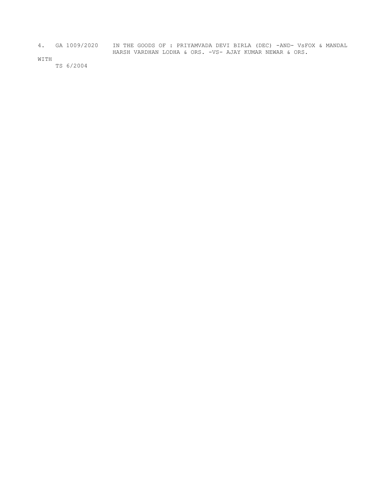4. GA 1009/2020 IN THE GOODS OF : PRIYAMVADA DEVI BIRLA (DEC) -AND- VsFOX & MANDAL HARSH VARDHAN LODHA & ORS. -VS- AJAY KUMAR NEWAR & ORS.

WITH

TS 6/2004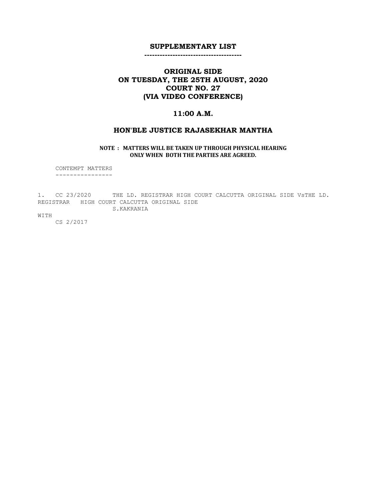--------------------------------------

# ORIGINAL SIDE ON TUESDAY, THE 25TH AUGUST, 2020 COURT NO. 27 (VIA VIDEO CONFERENCE)

## 11:00 A.M.

### HON'BLE JUSTICE RAJASEKHAR MANTHA

NOTE : MATTERS WILL BE TAKEN UP THROUGH PHYSICAL HEARING ONLY WHEN BOTH THE PARTIES ARE AGREED.

 CONTEMPT MATTERS ----------------

1. CC 23/2020 THE LD. REGISTRAR HIGH COURT CALCUTTA ORIGINAL SIDE VsTHE LD. REGISTRAR HIGH COURT CALCUTTA ORIGINAL SIDE S.KAKRANIA

WITH

CS 2/2017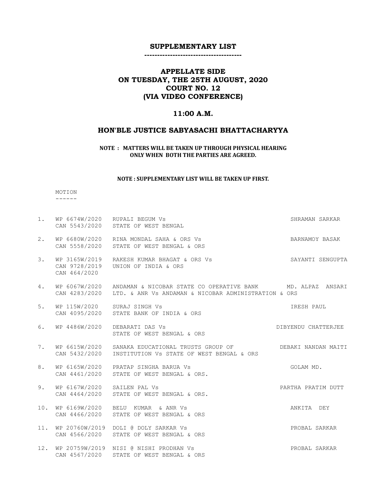--------------------------------------

# APPELLATE SIDE ON TUESDAY, THE 25TH AUGUST, 2020 COURT NO. 12 (VIA VIDEO CONFERENCE)

### 11:00 A.M.

### HON'BLE JUSTICE SABYASACHI BHATTACHARYYA

### NOTE : MATTERS WILL BE TAKEN UP THROUGH PHYSICAL HEARING ONLY WHEN BOTH THE PARTIES ARE AGREED.

#### NOTE : SUPPLEMENTARY LIST WILL BE TAKEN UP FIRST.

 MOTION ------

| 1.  |                                              | WP 6674W/2020 RUPALI BEGUM Vs<br>CAN 5543/2020 STATE OF WEST BENGAL                                                              | SHRAMAN SARKAR      |
|-----|----------------------------------------------|----------------------------------------------------------------------------------------------------------------------------------|---------------------|
| 2.  |                                              | WP 6680W/2020 RINA MONDAL SAHA & ORS Vs<br>CAN 5558/2020 STATE OF WEST BENGAL & ORS                                              | BARNAMOY BASAK      |
| 3.  | CAN 464/2020                                 | WP 3165W/2019   RAKESH KUMAR BHAGAT & ORS Vs<br>CAN 9728/2019 UNION OF INDIA & ORS                                               | SAYANTI SENGUPTA    |
| 4.  | CAN 4283/2020                                | WP 6067W/2020 ANDAMAN & NICOBAR STATE CO OPERATIVE BANK MD. ALPAZ ANSARI<br>LTD. & ANR Vs ANDAMAN & NICOBAR ADMINISTRATION & ORS |                     |
| 5.  | WP 115W/2020 SURAJ SINGH Vs                  | CAN 4095/2020 STATE BANK OF INDIA & ORS                                                                                          | IRESH PAUL          |
| 6.  | WP 4486W/2020                                | DEBARATI DAS Vs<br>STATE OF WEST BENGAL & ORS                                                                                    | DIBYENDU CHATTERJEE |
| 7.  | WP 6615W/2020<br>CAN 5432/2020               | SANAKA EDUCATIONAL TRUSTS GROUP OF THE DEBAKI NANDAN MAITI<br>INSTITUTION Vs STATE OF WEST BENGAL & ORS                          |                     |
| 8.  |                                              | WP 6165W/2020 PRATAP SINGHA BARUA Vs<br>CAN 4461/2020 STATE OF WEST BENGAL & ORS.                                                | GOLAM MD.           |
| 9.  | WP 6167W/2020 SAILEN PAL Vs<br>CAN 4464/2020 | STATE OF WEST BENGAL & ORS.                                                                                                      | PARTHA PRATIM DUTT  |
| 10. |                                              | WP 6169W/2020 BELU KUMAR & ANR Vs<br>CAN 4466/2020 STATE OF WEST BENGAL & ORS                                                    | ANKITA DEY          |
|     |                                              | 11. WP 20760W/2019 DOLI @ DOLY SARKAR Vs<br>CAN 4566/2020 STATE OF WEST BENGAL & ORS                                             | PROBAL SARKAR       |
| 12. | CAN 4567/2020                                | WP 20759W/2019 NISI @ NISHI PRODHAN Vs<br>STATE OF WEST BENGAL & ORS                                                             | PROBAL SARKAR       |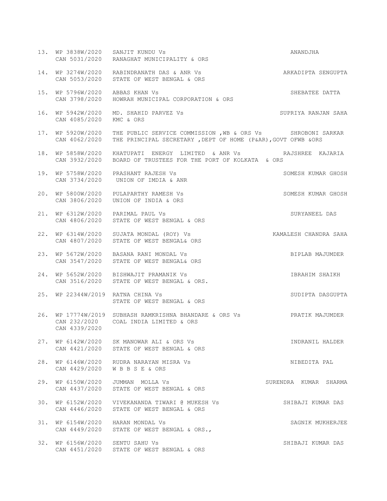|     |                                   | 13. WP 3838W/2020 SANJIT KUNDU Vs<br>CAN 5031/2020 RANAGHAT MUNICIPALITY & ORS                                                             | ANANDJHA              |
|-----|-----------------------------------|--------------------------------------------------------------------------------------------------------------------------------------------|-----------------------|
|     |                                   | 14. WP 3274W/2020 RABINDRANATH DAS & ANR Vs<br>CAN 5053/2020 STATE OF WEST BENGAL & ORS                                                    | ARKADIPTA SENGUPTA    |
|     | 15. WP 5796W/2020 ABBAS KHAN Vs   | CAN 3798/2020 HOWRAH MUNICIPAL CORPORATION & ORS                                                                                           | SHEBATEE DATTA        |
|     | CAN 4085/2020                     | 16. WP 5942W/2020 MD. SHAHID PARVEZ Vs<br>KMC & ORS                                                                                        | SUPRIYA RANJAN SAHA   |
| 17. | CAN 4062/2020                     | WP 5920W/2020 THE PUBLIC SERVICE COMMISSION, WB & ORS Vs SHROBONI SARKAR<br>THE PRINCIPAL SECRETARY , DEPT OF HOME (P&AR), GOVT OFWB & ORS |                       |
|     |                                   | 18. WP 5858W/2020 KHATUPATI ENERGY LIMITED & ANR Vs BAJSHREE KAJARIA<br>CAN 3932/2020 BOARD OF TRUSTEES FOR THE PORT OF KOLKATA & ORS      |                       |
|     |                                   | 19. WP 5758W/2020 PRASHANT RAJESH Vs<br>CAN 3734/2020 UNION OF IMDIA & ANR                                                                 | SOMESH KUMAR GHOSH    |
| 20. |                                   | WP 5800W/2020 PULAPARTHY RAMESH Vs<br>CAN 3806/2020 UNION OF INDIA & ORS                                                                   | SOMESH KUMAR GHOSH    |
|     | CAN 4806/2020                     | 21. WP 6312W/2020 PARIMAL PAUL Vs<br>STATE OF WEST BENGAL & ORS                                                                            | SURYANEEL DAS         |
|     |                                   | 22. WP 6314W/2020 SUJATA MONDAL (ROY) Vs<br>CAN 4807/2020 STATE OF WEST BENGAL& ORS                                                        | KAMALESH CHANDRA SAHA |
| 23. |                                   | WP 5672W/2020 BASANA RANI MONDAL Vs<br>CAN 3547/2020 STATE OF WEST BENGAL& ORS                                                             | BIPLAB MAJUMDER       |
| 24. |                                   | WP 5652W/2020 BISHWAJIT PRAMANIK Vs<br>CAN 3516/2020 STATE OF WEST BENGAL & ORS.                                                           | IBRAHIM SHAIKH        |
|     | 25. WP 22344W/2019 RATNA CHINA Vs | STATE OF WEST BENGAL & ORS                                                                                                                 | SUDIPTA DASGUPTA      |
|     | CAN 4339/2020                     | 26. WP 17774W/2019 SUBHASH RAMKRISHNA BHANDARE & ORS Vs BRATIK MAJUMDER<br>CAN 232/2020 COAL INDIA LIMITED & ORS                           |                       |
|     |                                   | 27. WP 6142W/2020 SK MANOWAR ALI & ORS Vs<br>CAN 4421/2020 STATE OF WEST BENGAL & ORS                                                      | INDRANIL HALDER       |
|     |                                   | 28. WP 6146W/2020 RUDRA NARAYAN MISRA Vs<br>CAN 4429/2020 WBBSE & ORS                                                                      | NIBEDITA PAL          |
| 29. |                                   | WP 6150W/2020 JUMMAN MOLLA Vs<br>CAN 4437/2020 STATE OF WEST BENGAL & ORS                                                                  | SURENDRA KUMAR SHARMA |
| 30. |                                   | WP 6152W/2020 VIVEKANANDA TIWARI @ MUKESH Vs<br>CAN 4446/2020 STATE OF WEST BENGAL & ORS                                                   | SHIBAJI KUMAR DAS     |
| 31. |                                   | WP 6154W/2020 HARAN MONDAL Vs<br>CAN 4449/2020 STATE OF WEST BENGAL & ORS.,                                                                | SAGNIK MUKHERJEE      |
|     | 32. WP 6156W/2020 SENTU SAHU Vs   | CAN 4451/2020 STATE OF WEST BENGAL & ORS                                                                                                   | SHIBAJI KUMAR DAS     |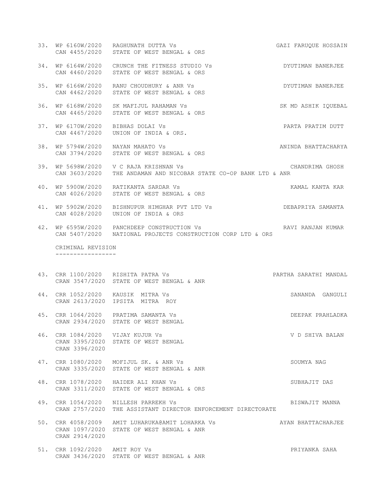- 33. WP 6160W/2020 RAGHUNATH DUTTA Vs GAZI FARUQUE HOSSAIN CAN 4455/2020 STATE OF WEST BENGAL & ORS 34. WP 6164W/2020 CRUNCH THE FITNESS STUDIO Vs DYUTIMAN BANERJEE
- CAN 4460/2020 STATE OF WEST BENGAL & ORS
- 35. WP 6166W/2020 RANU CHOUDHURY & ANR Vs DYUTIMAN BANERJEE CAN 4462/2020 STATE OF WEST BENGAL & ORS
- 36. WP 6168W/2020 SK MAFIJUL RAHAMAN Vs SK MD ASHIK IQUEBAL CAN 4465/2020 STATE OF WEST BENGAL & ORS
- 37. WP 6170W/2020 BIBHAS DOLAI Vs PARTA PRATIM DUTT CAN 4467/2020 UNION OF INDIA & ORS.
- 38. WP 5794W/2020 NAYAN MAHATO Vs ANINDA BHATTACHARYA CAN 3794/2020 STATE OF WEST BENGAL & ORS
- 39. WP 5698W/2020 V C RAJA KRISHNAN Vs CHANDRIMA GHOSH CAN 3603/2020 THE ANDAMAN AND NICOBAR STATE CO-OP BANK LTD & ANR
- 40. WP 5900W/2020 RATIKANTA SARDAR Vs KAMAL KANTA KAR CAN 4026/2020 STATE OF WEST BENGAL & ORS
- 41. WP 5902W/2020 BISHNUPUR HIMGHAR PVT LTD Vs DEBAPRIYA SAMANTA CAN 4028/2020 UNION OF INDIA & ORS
- 42. WP 6595W/2020 PANCHDEEP CONSTRUCTION Vs RAVI RANJAN KUMAR CAN 5407/2020 NATIONAL PROJECTS CONSTRUCTION CORP LTD & ORS

 CRIMINAL REVISION -----------------

- 43. CRR 1100/2020 RISHITA PATRA Vs PARTHA SARATHI MANDAL CRAN 3547/2020 STATE OF WEST BENGAL & ANR
- 44. CRR 1052/2020 KAUSIK MITRA Vs SANANDA GANGULI CRAN 2613/2020 IPSITA MITRA ROY
- 45. CRR 1064/2020 PRATIMA SAMANTA Vs DEEPAK PRAHLADKA CRAN 2934/2020 STATE OF WEST BENGAL
- 46. CRR 1084/2020 VIJAY KUJUR Vs V D SHIVA BALAN CRAN 3395/2020 STATE OF WEST BENGAL CRAN 3396/2020
- 47. CRR 1080/2020 MOFIJUL SK. & ANR Vs SOUMYA NAG CRAN 3335/2020 STATE OF WEST BENGAL & ANR
- 48. CRR 1078/2020 HAIDER ALI KHAN Vs SUBHAJIT DAS CRAN 3311/2020 STATE OF WEST BENGAL & ORS
- 49. CRR 1054/2020 NILLESH PARREKH Vs BISWAJIT MANNA CRAN 2757/2020 THE ASSISTANT DIRECTOR ENFORCEMENT DIRECTORATE
- 50. CRR 4058/2009 AMIT LUHARUKA@AMIT LOHARKA Vs AYAN BHATTACHARJEE CRAN 1097/2020 STATE OF WEST BENGAL & ANR CRAN 2914/2020
- 51. CRR 1092/2020 AMIT ROY Vs PRIYANKA SAHA CRAN 3436/2020 STATE OF WEST BENGAL & ANR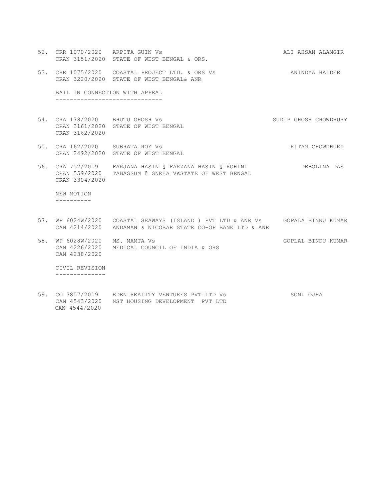52. CRR 1070/2020 ARPITA GUIN Vs ALI AHSAN ALAMGIR CRAN 3151/2020 STATE OF WEST BENGAL & ORS. 53. CRR 1075/2020 COASTAL PROJECT LTD. & ORS Vs **ANINDYA HALDER**  CRAN 3220/2020 STATE OF WEST BENGAL& ANR BAIL IN CONNECTION WITH APPEAL ------------------------------ 54. CRA 178/2020 BHUTU GHOSH Vs SUDIP GHOSH CHOWDHURY CRAN 3161/2020 STATE OF WEST BENGAL CRAN 3162/2020 55. CRA 162/2020 SUBRATA ROY Vs **RITAM CHOWDHURY**  CRAN 2492/2020 STATE OF WEST BENGAL 56. CRA 752/2019 FARJANA HASIN @ FARZANA HASIN @ ROHINI DEBOLINA DAS CRAN 559/2020 TABASSUM @ SNEHA VsSTATE OF WEST BENGAL CRAN 3304/2020 NEW MOTION ---------- 57. WP 6024W/2020 COASTAL SEAWAYS (ISLAND ) PVT LTD & ANR Vs GOPALA BINNU KUMAR CAN 4214/2020 ANDAMAN & NICOBAR STATE CO-OP BANK LTD & ANR 58. WP 6028W/2020 MS. MAMTA Vs GOPLAL BINDU KUMAR CAN 4226/2020 MEDICAL COUNCIL OF INDIA & ORS CAN 4238/2020 CIVIL REVISION

--------------

| 59. CO 3857/2019 | EDEN REALITY VENTURES PVT LTD Vs               | SONI OJHA |
|------------------|------------------------------------------------|-----------|
|                  | CAN 4543/2020  NST HOUSING DEVELOPMENT PVT LTD |           |
| CAN 4544/2020    |                                                |           |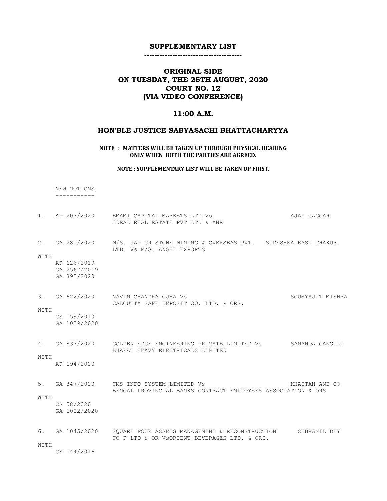--------------------------------------

# ORIGINAL SIDE ON TUESDAY, THE 25TH AUGUST, 2020 COURT NO. 12 (VIA VIDEO CONFERENCE)

## 11:00 A.M.

# HON'BLE JUSTICE SABYASACHI BHATTACHARYYA

NOTE : MATTERS WILL BE TAKEN UP THROUGH PHYSICAL HEARING ONLY WHEN BOTH THE PARTIES ARE AGREED.

NOTE : SUPPLEMENTARY LIST WILL BE TAKEN UP FIRST.

|      | NEW MOTIONS                                                  |                                                                                                           |                  |
|------|--------------------------------------------------------------|-----------------------------------------------------------------------------------------------------------|------------------|
|      |                                                              |                                                                                                           |                  |
|      | 1. AP 207/2020                                               | EMAMI CAPITAL MARKETS LTD Vs<br>IDEAL REAL ESTATE PVT LTD & ANR                                           | AJAY GAGGAR      |
| WITH | 2. GA 280/2020<br>AP 626/2019<br>GA 2567/2019<br>GA 895/2020 | M/S. JAY CR STONE MINING & OVERSEAS PVT. SUDESHNA BASU THAKUR<br>LTD. Vs M/S. ANGEL EXPORTS               |                  |
| WITH | CS 159/2010<br>GA 1029/2020                                  | 3. GA 622/2020 NAVIN CHANDRA OJHA Vs<br>CALCUTTA SAFE DEPOSIT CO. LTD. & ORS.                             | SOUMYAJIT MISHRA |
| WITH | 4. GA 837/2020<br>AP 194/2020                                | GOLDEN EDGE ENGINEERING PRIVATE LIMITED Vs SANANDA GANGULI<br>BHARAT HEAVY ELECTRICALS LIMITED            |                  |
| WITH | CS 58/2020<br>GA 1002/2020                                   | 5. GA 847/2020 CMS INFO SYSTEM LIMITED Vs<br>BENGAL PROVINCIAL BANKS CONTRACT EMPLOYEES ASSOCIATION & ORS | KHAITAN AND CO   |
| WITH | 6. GA $1045/2020$<br>CS 144/2016                             | SQUARE FOUR ASSETS MANAGEMENT & RECONSTRUCTION<br>CO P LTD & OR VSORIENT BEVERAGES LTD. & ORS.            | SUBRANIL DEY     |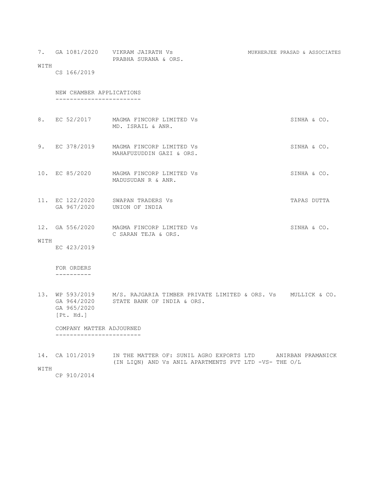|      | 7. GA 1081/2020          | VIKRAM JAIRATH Vs<br>PRABHA SURANA & ORS.            | MUKHERJEE PRASAD & ASSOCIATES |             |  |
|------|--------------------------|------------------------------------------------------|-------------------------------|-------------|--|
| WITH | CS 166/2019              |                                                      |                               |             |  |
|      | NEW CHAMBER APPLICATIONS |                                                      |                               |             |  |
|      | 8. EC 52/2017            | MAGMA FINCORP LIMITED Vs<br>MD. ISRAIL & ANR.        |                               | SINHA & CO. |  |
| 9.   | EC 378/2019              | MAGMA FINCORP LIMITED Vs<br>MAHAFUZUDDIN GAZI & ORS. |                               | SINHA & CO. |  |

10. EC 85/2020 MAGMA FINCORP LIMITED Vs SINHA & CO. MADUSUDAN R & ANR.

11. EC 122/2020 SWAPAN TRADERS Vs TAPAS DUTTA GA 967/2020 UNION OF INDIA

12. GA 556/2020 MAGMA FINCORP LIMITED Vs SINHA & CO. C SARAN TEJA & ORS. WITH

EC 423/2019

 FOR ORDERS ----------

13. WP 593/2019 M/S. RAJGARIA TIMBER PRIVATE LIMITED & ORS. Vs MULLICK & CO. GA 964/2020 STATE BANK OF INDIA & ORS. GA 965/2020 [Pt. Hd.]

 COMPANY MATTER ADJOURNED ------------------------

| 14. CA 101/2019 |  | IN THE MATTER OF: SUNIL AGRO EXPORTS LTD              | ANIRBAN PRAMANICK |
|-----------------|--|-------------------------------------------------------|-------------------|
|                 |  | (IN LION) AND Vs ANIL APARTMENTS PVT LTD -VS- THE O/L |                   |

WITH

CP 910/2014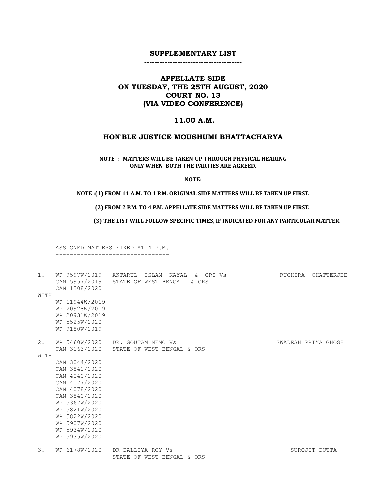--------------------------------------

# APPELLATE SIDE ON TUESDAY, THE 25TH AUGUST, 2020 COURT NO. 13 (VIA VIDEO CONFERENCE)

### 11.00 A.M.

## HON'BLE JUSTICE MOUSHUMI BHATTACHARYA

NOTE : MATTERS WILL BE TAKEN UP THROUGH PHYSICAL HEARING ONLY WHEN BOTH THE PARTIES ARE AGREED.

NOTE:

#### NOTE :(1) FROM 11 A.M. TO 1 P.M. ORIGINAL SIDE MATTERS WILL BE TAKEN UP FIRST.

# (2) FROM 2 P.M. TO 4 P.M. APPELLATE SIDE MATTERS WILL BE TAKEN UP FIRST.

(3) THE LIST WILL FOLLOW SPECIFIC TIMES, IF INDICATED FOR ANY PARTICULAR MATTER.

 ASSIGNED MATTERS FIXED AT 4 P.M. --------------------------------

| $1$ .<br>WITH | WP 9597W/2019<br>CAN 5957/2019<br>CAN 1308/2020<br>WP 11944W/2019<br>WP 20928W/2019<br>WP 20931W/2019<br>WP 5525W/2020<br>WP 9180W/2019 | AKTARUL<br>ISLAM KAYAL<br>& ORS Vs<br>STATE OF WEST BENGAL<br>& ORS | CHATTERJEE<br>RUCHIRA |
|---------------|-----------------------------------------------------------------------------------------------------------------------------------------|---------------------------------------------------------------------|-----------------------|
| 2.            | WP 5460W/2020                                                                                                                           | DR. GOUTAM NEMO Vs                                                  | SWADESH PRIYA GHOSH   |
|               | CAN 3163/2020                                                                                                                           | STATE OF WEST BENGAL & ORS                                          |                       |
| WITH          |                                                                                                                                         |                                                                     |                       |
|               | CAN 3044/2020                                                                                                                           |                                                                     |                       |
|               | CAN 3841/2020                                                                                                                           |                                                                     |                       |
|               | CAN 4040/2020                                                                                                                           |                                                                     |                       |
|               | CAN 4077/2020                                                                                                                           |                                                                     |                       |
|               | CAN 4078/2020                                                                                                                           |                                                                     |                       |
|               | CAN 3840/2020                                                                                                                           |                                                                     |                       |
|               | WP 5367W/2020                                                                                                                           |                                                                     |                       |
|               | WP 5821W/2020                                                                                                                           |                                                                     |                       |
|               | WP 5822W/2020                                                                                                                           |                                                                     |                       |
|               | WP 5907W/2020                                                                                                                           |                                                                     |                       |
|               | WP 5934W/2020                                                                                                                           |                                                                     |                       |
|               | WP 5935W/2020                                                                                                                           |                                                                     |                       |
| 3.            | WP 6178W/2020                                                                                                                           | DR DALLIYA ROY Vs<br>STATE OF WEST BENGAL & ORS                     | SUROJIT DUTTA         |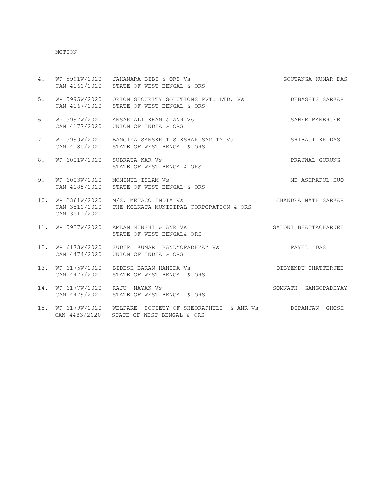MOTION ------

| 4.  | CAN 4160/2020                                       | WP 5991W/2020 JAHANARA BIBI & ORS Vs<br>STATE OF WEST BENGAL & ORS             | GOUTANGA KUMAR DAS   |
|-----|-----------------------------------------------------|--------------------------------------------------------------------------------|----------------------|
| 5.  | WP 5995W/2020<br>CAN 4167/2020                      | ORION SECURITY SOLUTIONS PVT. LTD. Vs<br>STATE OF WEST BENGAL & ORS            | DEBASHIS SARKAR      |
| 6.  | WP 5997W/2020<br>CAN 4177/2020                      | ANSAR ALI KHAN & ANR Vs<br>UNION OF INDIA & ORS                                | SAHEB BANERJEE       |
| 7.  | CAN 4180/2020                                       | WP 5999W/2020 BANGIYA SANSKRIT SIKSHAK SAMITY Vs<br>STATE OF WEST BENGAL & ORS | SHIBAJI KR DAS       |
| 8.  | WP 6001W/2020                                       | SUBRATA KAR Vs<br>STATE OF WEST BENGAL& ORS                                    | PRAJWAL GURUNG       |
| 9.  | WP 6003W/2020<br>CAN 4185/2020                      | MOMINUL ISLAM Vs<br>STATE OF WEST BENGAL & ORS                                 | MD ASHRAFUL HUO      |
|     | 10. WP 2361W/2020<br>CAN 3510/2020<br>CAN 3511/2020 | M/S. METACO INDIA Vs<br>THE KOLKATA MUNICIPAL CORPORATION & ORS                | CHANDRA NATH SARKAR  |
| 11. | WP 5937W/2020                                       | AMLAN MUNSHI & ANR Vs<br>STATE OF WEST BENGAL& ORS                             | SALONI BHATTACHARJEE |
| 12. | WP 6173W/2020<br>CAN 4474/2020                      | SUDIP KUMAR BANDYOPADHYAY VS<br>UNION OF INDIA & ORS                           | PAYEL DAS            |
| 13. | WP 6175W/2020<br>CAN 4477/2020                      | BIDESH BARAN HANSDA Vs<br>STATE OF WEST BENGAL & ORS                           | DIBYENDU CHATTERJEE  |
| 14. | WP 6177W/2020<br>CAN 4479/2020                      | RAJU NAYAK VS<br>STATE OF WEST BENGAL & ORS                                    | SOMNATH GANGOPADHYAY |
| 15. | WP 6179W/2020<br>CAN 4483/2020                      | WELFARE SOCIETY OF SHEORAPHULI & ANR Vs<br>STATE OF WEST BENGAL & ORS          | DIPANJAN GHOSH       |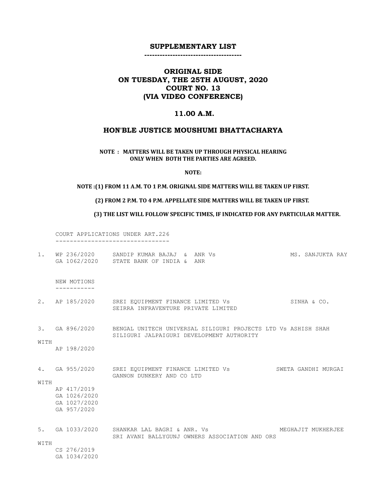--------------------------------------

# ORIGINAL SIDE ON TUESDAY, THE 25TH AUGUST, 2020 COURT NO. 13 (VIA VIDEO CONFERENCE)

### 11.00 A.M.

### HON'BLE JUSTICE MOUSHUMI BHATTACHARYA

### NOTE : MATTERS WILL BE TAKEN UP THROUGH PHYSICAL HEARING ONLY WHEN BOTH THE PARTIES ARE AGREED.

NOTE:

# NOTE :(1) FROM 11 A.M. TO 1 P.M. ORIGINAL SIDE MATTERS WILL BE TAKEN UP FIRST.

#### (2) FROM 2 P.M. TO 4 P.M. APPELLATE SIDE MATTERS WILL BE TAKEN UP FIRST.

(3) THE LIST WILL FOLLOW SPECIFIC TIMES, IF INDICATED FOR ANY PARTICULAR MATTER.

 COURT APPLICATIONS UNDER ART.226 --------------------------------

| $1$ .      | WP 236/2020                                                | SANDIP KUMAR BAJAJ & ANR Vs<br>GA 1062/2020 STATE BANK OF INDIA & ANR                                                     | MS. SANJUKTA RAY    |
|------------|------------------------------------------------------------|---------------------------------------------------------------------------------------------------------------------------|---------------------|
|            | NEW MOTIONS                                                |                                                                                                                           |                     |
|            | 2. AP 185/2020                                             | SREI EQUIPMENT FINANCE LIMITED Vs<br>SEIRRA INFRAVENTURE PRIVATE LIMITED                                                  | SINHA & CO.         |
| WITH       |                                                            | 3. GA 896/2020 BENGAL UNITECH UNIVERSAL SILIGURI PROJECTS LTD VS ASHISH SHAH<br>SILIGURI JALPAIGURI DEVELOPMENT AUTHORITY |                     |
|            | AP 198/2020                                                |                                                                                                                           |                     |
| 4.<br>WITH | GA 955/2020                                                | SREI EQUIPMENT FINANCE LIMITED Vs<br>GANNON DUNKERY AND CO LTD                                                            | SWETA GANDHI MURGAI |
|            | AP 417/2019<br>GA 1026/2020<br>GA 1027/2020<br>GA 957/2020 |                                                                                                                           |                     |
| 5.<br>WITH |                                                            | GA 1033/2020 SHANKAR LAL BAGRI & ANR. Vs<br>SRI AVANI BALLYGUNJ OWNERS ASSOCIATION AND ORS                                | MEGHAJIT MUKHERJEE  |
|            | CS 276/2019<br>GA 1034/2020                                |                                                                                                                           |                     |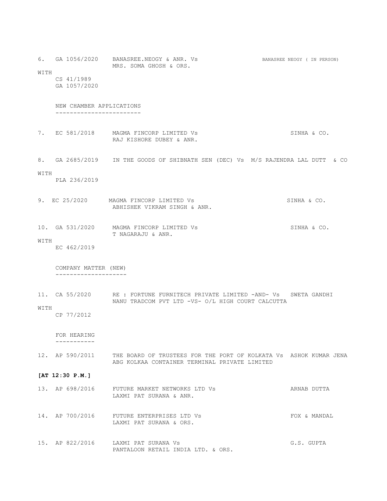6. GA 1056/2020 BANASREE.NEOGY & ANR. Vs BANASREE NEOGY (IN PERSON) MRS. SOMA GHOSH & ORS. WITH CS 41/1989 GA 1057/2020 NEW CHAMBER APPLICATIONS ------------------------

- 7. EC 581/2018 MAGMA FINCORP LIMITED Vs SINHA & CO. RAJ KISHORE DUBEY & ANR.
- 8. GA 2685/2019 IN THE GOODS OF SHIBNATH SEN (DEC) Vs M/S RAJENDRA LAL DUTT & CO

#### WITH

PLA 236/2019

- 9. EC 25/2020 MAGMA FINCORP LIMITED Vs SINHA & CO. ABHISHEK VIKRAM SINGH & ANR.
- 10. GA 531/2020 MAGMA FINCORP LIMITED Vs SINHA & CO. T NAGARAJU & ANR.
- WITH
	- EC 462/2019

 COMPANY MATTER (NEW) --------------------

11. CA 55/2020 RE : FORTUNE FURNITECH PRIVATE LIMITED -AND- Vs SWETA GANDHI NANU TRADCOM PVT LTD -VS- O/L HIGH COURT CALCUTTA

### WITH

CP 77/2012

 FOR HEARING -----------

12. AP 590/2011 THE BOARD OF TRUSTEES FOR THE PORT OF KOLKATA Vs ASHOK KUMAR JENA ABG KOLKAA CONTAINER TERMINAL PRIVATE LIMITED

#### [AT 12:30 P.M.]

| 13. AP 698/2016 | FUTURE MARKET NETWORKS LTD Vs | ARNAB DUTTA |
|-----------------|-------------------------------|-------------|
|                 | LAXMI PAT SURANA & ANR.       |             |
|                 |                               |             |

- 14. AP 700/2016 FUTURE ENTERPRISES LTD Vs **FOX & MANDAL** LAXMI PAT SURANA & ORS.
- 15. AP 822/2016 LAXMI PAT SURANA Vs G.S. GUPTA PANTALOON RETAIL INDIA LTD. & ORS.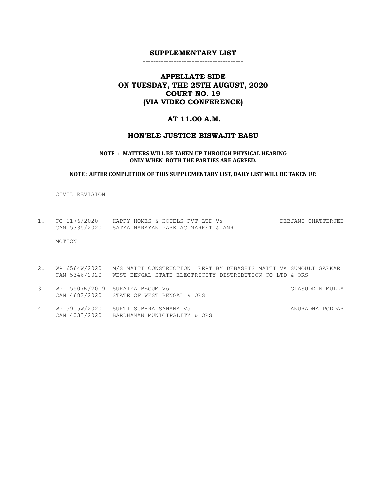#### ---------------------------------------

# APPELLATE SIDE ON TUESDAY, THE 25TH AUGUST, 2020 COURT NO. 19 (VIA VIDEO CONFERENCE)

### AT 11.00 A.M.

### HON'BLE JUSTICE BISWAJIT BASU

#### NOTE : MATTERS WILL BE TAKEN UP THROUGH PHYSICAL HEARING ONLY WHEN BOTH THE PARTIES ARE AGREED.

#### NOTE : AFTER COMPLETION OF THIS SUPPLEMENTARY LIST, DAILY LIST WILL BE TAKEN UP.

 CIVIL REVISION --------------

1. CO 1176/2020 HAPPY HOMES & HOTELS PVT LTD Vs DEBJANI CHATTERJEE CAN 5335/2020 SATYA NARAYAN PARK AC MARKET & ANR

 MOTION ------

- 2. WP 6564W/2020 M/S MAITI CONSTRUCTION REPT BY DEBASHIS MAITI Vs SUMOULI SARKAR CAN 5346/2020 WEST BENGAL STATE ELECTRICITY DISTRIBUTION CO LTD & ORS
- 3. WP 15507W/2019 SURAIYA BEGUM Vs GIASUD CHASUDDIN MULLA CAN 4682/2020 STATE OF WEST BENGAL & ORS
- 4. WP 5905W/2020 SUKTI SUBHRA SAHANA Vs ANURADHA PODDAR CAN 4033/2020 BARDHAMAN MUNICIPALITY & ORS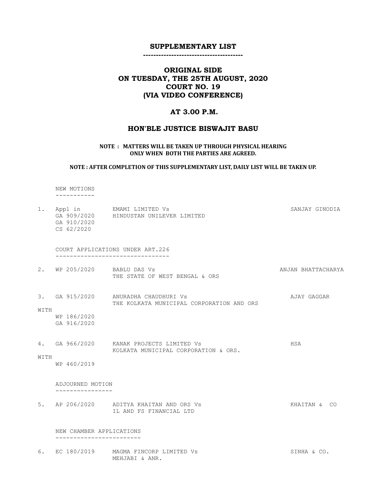---------------------------------------

# ORIGINAL SIDE ON TUESDAY, THE 25TH AUGUST, 2020 COURT NO. 19 (VIA VIDEO CONFERENCE)

### AT 3.00 P.M.

### HON'BLE JUSTICE BISWAJIT BASU

#### NOTE : MATTERS WILL BE TAKEN UP THROUGH PHYSICAL HEARING ONLY WHEN BOTH THE PARTIES ARE AGREED.

#### NOTE : AFTER COMPLETION OF THIS SUPPLEMENTARY LIST, DAILY LIST WILL BE TAKEN UP.

 NEW MOTIONS -----------

1. Appl in EMAMI LIMITED Vs SANJAY GINODIA GA 909/2020 HINDUSTAN UNILEVER LIMITED GA 910/2020 CS 62/2020 COURT APPLICATIONS UNDER ART.226 -------------------------------- 2. WP 205/2020 BABLU DAS Vs ANJAN BHATTACHARYA THE STATE OF WEST BENGAL & ORS 3. GA 915/2020 ANURADHA CHAUDHURI Vs AJAY GAGGAR THE KOLKATA MUNICIPAL CORPORATION AND ORS WITH WP 186/2020 GA 916/2020 4. GA 966/2020 KANAK PROJECTS LIMITED Vs FANALL HSA KOLKATA MUNICIPAL CORPORATION & ORS. WITH WP 460/2019 ADJOURNED MOTION ---------------- 5. AP 206/2020 ADITYA KHAITAN AND ORS Vs KHAITAN & CO IL AND FS FINANCIAL LTD

#### NEW CHAMBER APPLICATIONS ------------------------

6. EC 180/2019 MAGMA FINCORP LIMITED Vs SINHA & CO. MEHJABI & ANR.